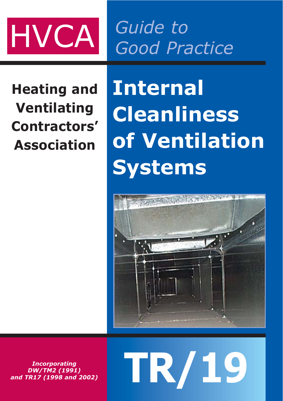

*Guide to Good Practice*

**Heating and Ventilating Contractors' Association**

**Internal Cleanliness of Ventilation Systems**



**TR/19**

*Incorporating DW/TM2 (1991) and TR17 (1998 and 2002)*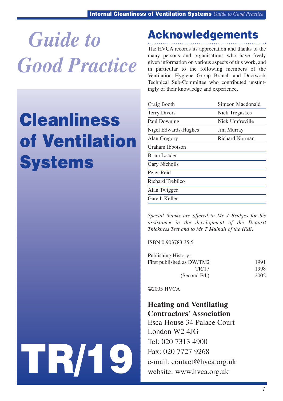*Guide to Good Practice*

## Cleanliness of Ventilation **Systems**

## Acknowledgements

The HVCA records its appreciation and thanks to the many persons and organisations who have freely given information on various aspects of this work, and in particular to the following members of the Ventilation Hygiene Group Branch and Ductwork Technical Sub-Committee who contributed unstintingly of their knowledge and experience.

| Craig Booth          | Simeon Macdonald      |
|----------------------|-----------------------|
| <b>Terry Divers</b>  | <b>Nick Tregaskes</b> |
| Paul Downing         | Nick Umfreville       |
| Nigel Edwards-Hughes | <b>Jim Murray</b>     |
| Alan Gregory         | <b>Richard Norman</b> |
| Graham Ibbotson      |                       |
| <b>Brian Loader</b>  |                       |
| <b>Gary Nicholls</b> |                       |
| Peter Reid           |                       |
| Richard Trebilco     |                       |
| Alan Twigger         |                       |
| Gareth Keller        |                       |

*Special thanks are offered to Mr J Bridges for his assistance in the development of the Deposit Thickness Test and to Mr T Mulhall of the HSE.*

ISBN 0 903783 35 5

| Publishing History:       |      |
|---------------------------|------|
| First published as DW/TM2 | 1991 |
| TR/17                     | 1998 |
| (Second Ed.)              | 2002 |

©2005 HVCA

**Heating and Ventilating Contractors' Association**

Esca House 34 Palace Court London W2 4JG Tel: 020 7313 4900 Fax: 020 7727 9268 e-mail: contact@hvca.org.uk website: www.hvca.org.uk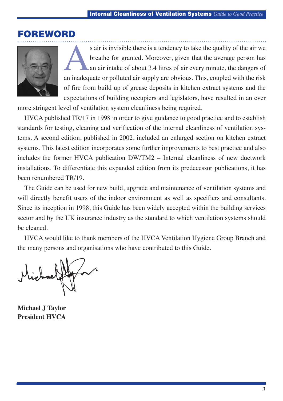## FOREWORD



S air is invisible there is a tendency to take the quality of the air we<br>breathe for granted. Moreover, given that the average person has<br>an air intake of about 3.4 litres of air every minute, the dangers of<br>an inadequate breathe for granted. Moreover, given that the average person has an air intake of about 3.4 litres of air every minute, the dangers of an inadequate or polluted air supply are obvious. This, coupled with the risk of fire from build up of grease deposits in kitchen extract systems and the expectations of building occupiers and legislators, have resulted in an ever

more stringent level of ventilation system cleanliness being required.

HVCA published TR/17 in 1998 in order to give guidance to good practice and to establish standards for testing, cleaning and verification of the internal cleanliness of ventilation systems. A second edition, published in 2002, included an enlarged section on kitchen extract systems. This latest edition incorporates some further improvements to best practice and also includes the former HVCA publication DW/TM2 – Internal cleanliness of new ductwork installations. To differentiate this expanded edition from its predecessor publications, it has been renumbered TR/19.

The Guide can be used for new build, upgrade and maintenance of ventilation systems and will directly benefit users of the indoor environment as well as specifiers and consultants. Since its inception in 1998, this Guide has been widely accepted within the building services sector and by the UK insurance industry as the standard to which ventilation systems should be cleaned.

HVCA would like to thank members of the HVCA Ventilation Hygiene Group Branch and the many persons and organisations who have contributed to this Guide.

**Michael J Taylor President HVCA**